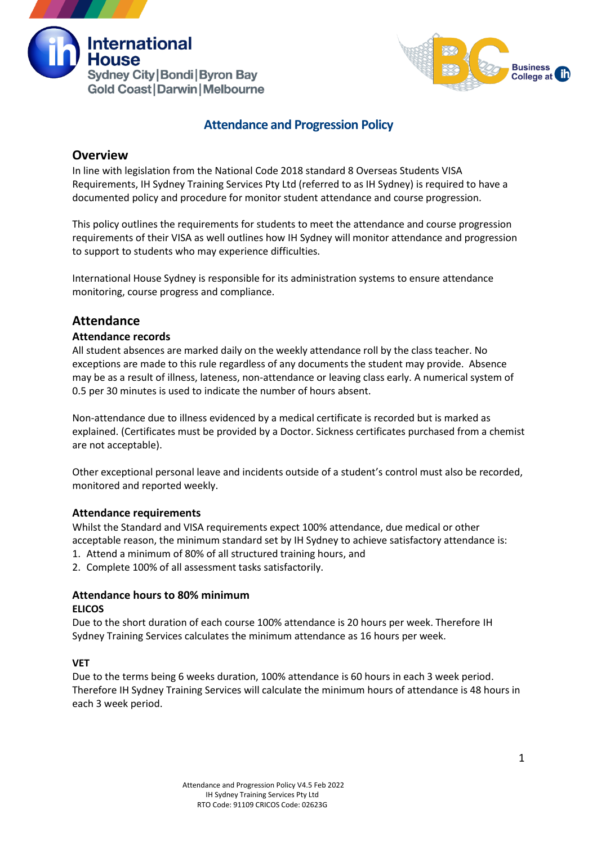



# **Attendance and Progression Policy**

## **Overview**

In line with legislation from the National Code 2018 standard 8 Overseas Students VISA Requirements, IH Sydney Training Services Pty Ltd (referred to as IH Sydney) is required to have a documented policy and procedure for monitor student attendance and course progression.

This policy outlines the requirements for students to meet the attendance and course progression requirements of their VISA as well outlines how IH Sydney will monitor attendance and progression to support to students who may experience difficulties.

International House Sydney is responsible for its administration systems to ensure attendance monitoring, course progress and compliance.

## **Attendance**

## **Attendance records**

All student absences are marked daily on the weekly attendance roll by the class teacher. No exceptions are made to this rule regardless of any documents the student may provide. Absence may be as a result of illness, lateness, non-attendance or leaving class early. A numerical system of 0.5 per 30 minutes is used to indicate the number of hours absent.

Non-attendance due to illness evidenced by a medical certificate is recorded but is marked as explained. (Certificates must be provided by a Doctor. Sickness certificates purchased from a chemist are not acceptable).

Other exceptional personal leave and incidents outside of a student's control must also be recorded, monitored and reported weekly.

## **Attendance requirements**

Whilst the Standard and VISA requirements expect 100% attendance, due medical or other acceptable reason, the minimum standard set by IH Sydney to achieve satisfactory attendance is:

- 1. Attend a minimum of 80% of all structured training hours, and
- 2. Complete 100% of all assessment tasks satisfactorily.

## **Attendance hours to 80% minimum ELICOS**

Due to the short duration of each course 100% attendance is 20 hours per week. Therefore IH Sydney Training Services calculates the minimum attendance as 16 hours per week.

## **VET**

Due to the terms being 6 weeks duration, 100% attendance is 60 hours in each 3 week period. Therefore IH Sydney Training Services will calculate the minimum hours of attendance is 48 hours in each 3 week period.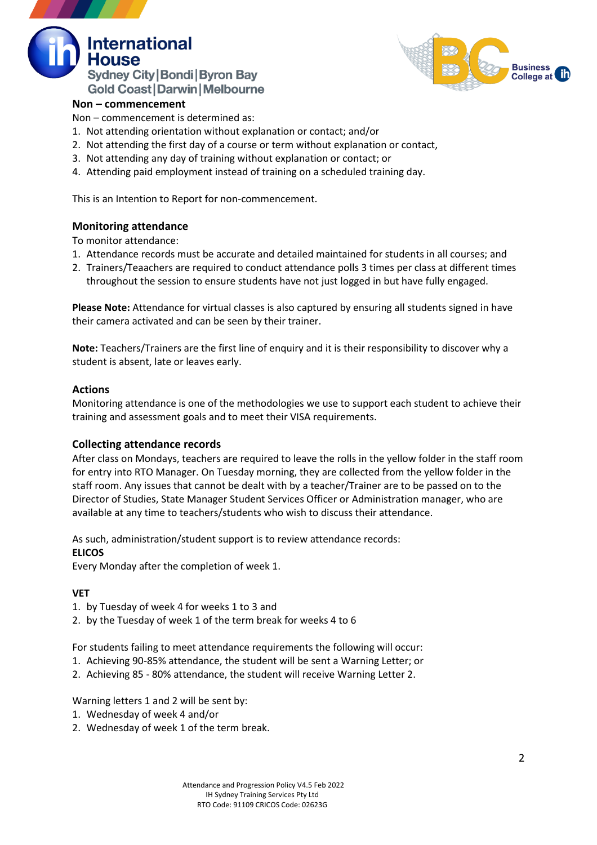



## **Non – commencement**

Non – commencement is determined as:

- 1. Not attending orientation without explanation or contact; and/or
- 2. Not attending the first day of a course or term without explanation or contact,
- 3. Not attending any day of training without explanation or contact; or
- 4. Attending paid employment instead of training on a scheduled training day.

This is an Intention to Report for non-commencement.

## **Monitoring attendance**

To monitor attendance:

- 1. Attendance records must be accurate and detailed maintained for students in all courses; and
- 2. Trainers/Teaachers are required to conduct attendance polls 3 times per class at different times throughout the session to ensure students have not just logged in but have fully engaged.

**Please Note:** Attendance for virtual classes is also captured by ensuring all students signed in have their camera activated and can be seen by their trainer.

**Note:** Teachers/Trainers are the first line of enquiry and it is their responsibility to discover why a student is absent, late or leaves early.

## **Actions**

Monitoring attendance is one of the methodologies we use to support each student to achieve their training and assessment goals and to meet their VISA requirements.

## **Collecting attendance records**

After class on Mondays, teachers are required to leave the rolls in the yellow folder in the staff room for entry into RTO Manager. On Tuesday morning, they are collected from the yellow folder in the staff room. Any issues that cannot be dealt with by a teacher/Trainer are to be passed on to the Director of Studies, State Manager Student Services Officer or Administration manager, who are available at any time to teachers/students who wish to discuss their attendance.

As such, administration/student support is to review attendance records: **ELICOS**

Every Monday after the completion of week 1.

## **VET**

- 1. by Tuesday of week 4 for weeks 1 to 3 and
- 2. by the Tuesday of week 1 of the term break for weeks 4 to 6

For students failing to meet attendance requirements the following will occur:

- 1. Achieving 90-85% attendance, the student will be sent a Warning Letter; or
- 2. Achieving 85 80% attendance, the student will receive Warning Letter 2.

Warning letters 1 and 2 will be sent by:

- 1. Wednesday of week 4 and/or
- 2. Wednesday of week 1 of the term break.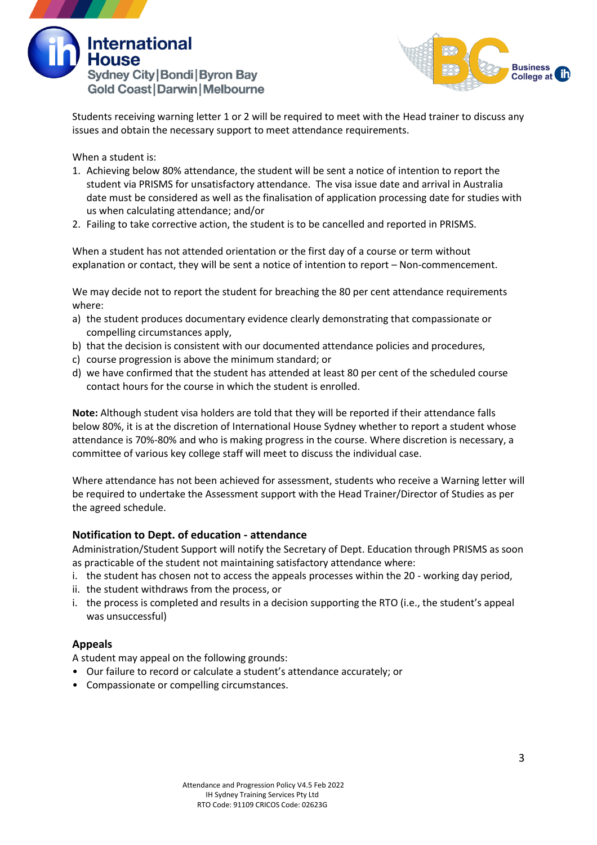



Students receiving warning letter 1 or 2 will be required to meet with the Head trainer to discuss any issues and obtain the necessary support to meet attendance requirements.

When a student is:

- 1. Achieving below 80% attendance, the student will be sent a notice of intention to report the student via PRISMS for unsatisfactory attendance. The visa issue date and arrival in Australia date must be considered as well as the finalisation of application processing date for studies with us when calculating attendance; and/or
- 2. Failing to take corrective action, the student is to be cancelled and reported in PRISMS.

When a student has not attended orientation or the first day of a course or term without explanation or contact, they will be sent a notice of intention to report – Non-commencement.

We may decide not to report the student for breaching the 80 per cent attendance requirements where:

- a) the student produces documentary evidence clearly demonstrating that compassionate or compelling circumstances apply,
- b) that the decision is consistent with our documented attendance policies and procedures,
- c) course progression is above the minimum standard; or
- d) we have confirmed that the student has attended at least 80 per cent of the scheduled course contact hours for the course in which the student is enrolled.

**Note:** Although student visa holders are told that they will be reported if their attendance falls below 80%, it is at the discretion of International House Sydney whether to report a student whose attendance is 70%-80% and who is making progress in the course. Where discretion is necessary, a committee of various key college staff will meet to discuss the individual case.

Where attendance has not been achieved for assessment, students who receive a Warning letter will be required to undertake the Assessment support with the Head Trainer/Director of Studies as per the agreed schedule.

## **Notification to Dept. of education - attendance**

Administration/Student Support will notify the Secretary of Dept. Education through PRISMS as soon as practicable of the student not maintaining satisfactory attendance where:

- i. the student has chosen not to access the appeals processes within the 20 working day period,
- ii. the student withdraws from the process, or
- i. the process is completed and results in a decision supporting the RTO (i.e., the student's appeal was unsuccessful)

## **Appeals**

A student may appeal on the following grounds:

- Our failure to record or calculate a student's attendance accurately; or
- Compassionate or compelling circumstances.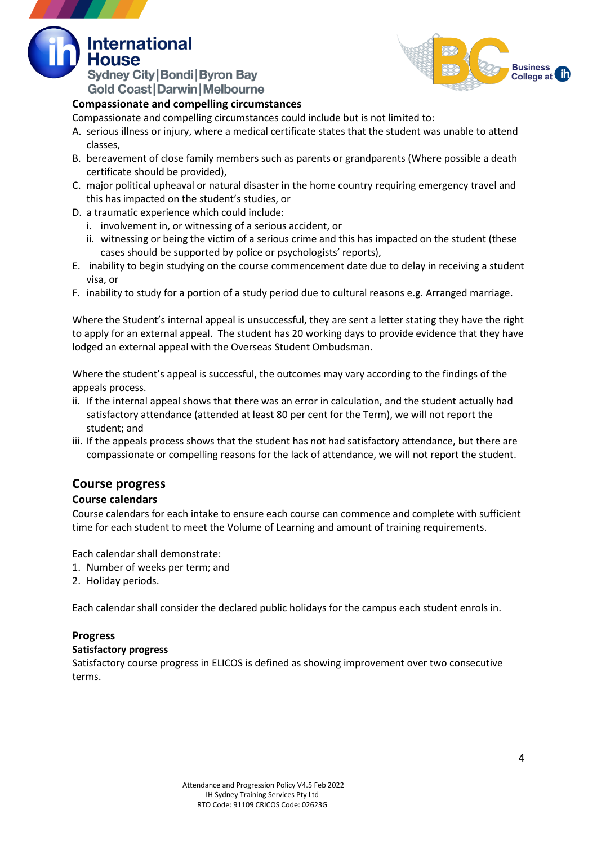**Sydney City | Bondi | Byron Bay Gold Coast | Darwin | Melbourne** 

**International** 



## **Compassionate and compelling circumstances**

Compassionate and compelling circumstances could include but is not limited to:

- A. serious illness or injury, where a medical certificate states that the student was unable to attend classes,
- B. bereavement of close family members such as parents or grandparents (Where possible a death certificate should be provided),
- C. major political upheaval or natural disaster in the home country requiring emergency travel and this has impacted on the student's studies, or
- D. a traumatic experience which could include:
	- i. involvement in, or witnessing of a serious accident, or
	- ii. witnessing or being the victim of a serious crime and this has impacted on the student (these cases should be supported by police or psychologists' reports),
- E. inability to begin studying on the course commencement date due to delay in receiving a student visa, or
- F. inability to study for a portion of a study period due to cultural reasons e.g. Arranged marriage.

Where the Student's internal appeal is unsuccessful, they are sent a letter stating they have the right to apply for an external appeal. The student has 20 working days to provide evidence that they have lodged an external appeal with the Overseas Student Ombudsman.

Where the student's appeal is successful, the outcomes may vary according to the findings of the appeals process.

- ii. If the internal appeal shows that there was an error in calculation, and the student actually had satisfactory attendance (attended at least 80 per cent for the Term), we will not report the student; and
- iii. If the appeals process shows that the student has not had satisfactory attendance, but there are compassionate or compelling reasons for the lack of attendance, we will not report the student.

# **Course progress**

## **Course calendars**

Course calendars for each intake to ensure each course can commence and complete with sufficient time for each student to meet the Volume of Learning and amount of training requirements.

Each calendar shall demonstrate:

- 1. Number of weeks per term; and
- 2. Holiday periods.

Each calendar shall consider the declared public holidays for the campus each student enrols in.

## **Progress**

## **Satisfactory progress**

Satisfactory course progress in ELICOS is defined as showing improvement over two consecutive terms.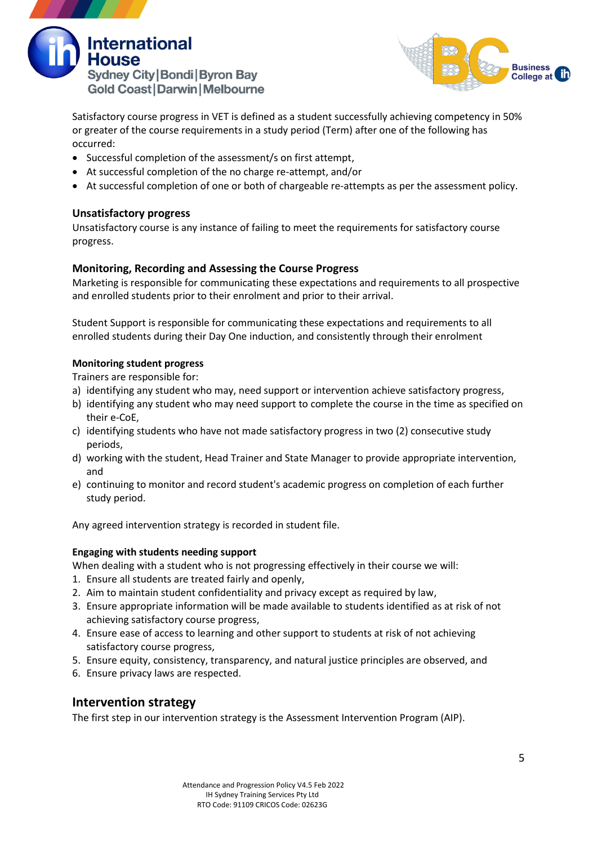



Satisfactory course progress in VET is defined as a student successfully achieving competency in 50% or greater of the course requirements in a study period (Term) after one of the following has occurred:

- Successful completion of the assessment/s on first attempt,
- At successful completion of the no charge re-attempt, and/or
- At successful completion of one or both of chargeable re-attempts as per the assessment policy.

## **Unsatisfactory progress**

Unsatisfactory course is any instance of failing to meet the requirements for satisfactory course progress.

## **Monitoring, Recording and Assessing the Course Progress**

Marketing is responsible for communicating these expectations and requirements to all prospective and enrolled students prior to their enrolment and prior to their arrival.

Student Support is responsible for communicating these expectations and requirements to all enrolled students during their Day One induction, and consistently through their enrolment

## **Monitoring student progress**

Trainers are responsible for:

- a) identifying any student who may, need support or intervention achieve satisfactory progress,
- b) identifying any student who may need support to complete the course in the time as specified on their e-CoE,
- c) identifying students who have not made satisfactory progress in two (2) consecutive study periods,
- d) working with the student, Head Trainer and State Manager to provide appropriate intervention, and
- e) continuing to monitor and record student's academic progress on completion of each further study period.

Any agreed intervention strategy is recorded in student file.

## **Engaging with students needing support**

When dealing with a student who is not progressing effectively in their course we will:

- 1. Ensure all students are treated fairly and openly,
- 2. Aim to maintain student confidentiality and privacy except as required by law,
- 3. Ensure appropriate information will be made available to students identified as at risk of not achieving satisfactory course progress,
- 4. Ensure ease of access to learning and other support to students at risk of not achieving satisfactory course progress,
- 5. Ensure equity, consistency, transparency, and natural justice principles are observed, and
- 6. Ensure privacy laws are respected.

# **Intervention strategy**

The first step in our intervention strategy is the Assessment Intervention Program (AIP).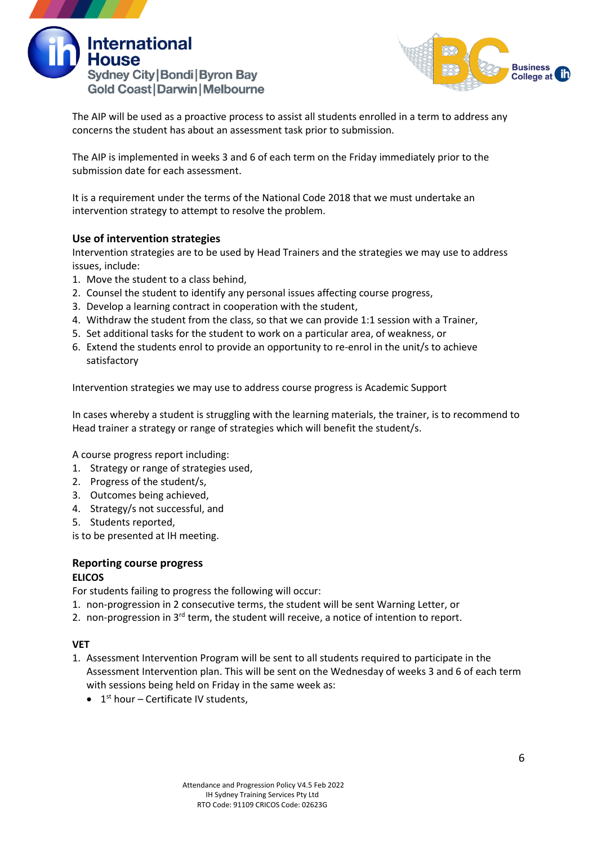



The AIP will be used as a proactive process to assist all students enrolled in a term to address any concerns the student has about an assessment task prior to submission.

The AIP is implemented in weeks 3 and 6 of each term on the Friday immediately prior to the submission date for each assessment.

It is a requirement under the terms of the National Code 2018 that we must undertake an intervention strategy to attempt to resolve the problem.

## **Use of intervention strategies**

Intervention strategies are to be used by Head Trainers and the strategies we may use to address issues, include:

- 1. Move the student to a class behind,
- 2. Counsel the student to identify any personal issues affecting course progress,
- 3. Develop a learning contract in cooperation with the student,
- 4. Withdraw the student from the class, so that we can provide 1:1 session with a Trainer,
- 5. Set additional tasks for the student to work on a particular area, of weakness, or
- 6. Extend the students enrol to provide an opportunity to re-enrol in the unit/s to achieve satisfactory

Intervention strategies we may use to address course progress is Academic Support

In cases whereby a student is struggling with the learning materials, the trainer, is to recommend to Head trainer a strategy or range of strategies which will benefit the student/s.

A course progress report including:

- 1. Strategy or range of strategies used,
- 2. Progress of the student/s,
- 3. Outcomes being achieved,
- 4. Strategy/s not successful, and
- 5. Students reported,

is to be presented at IH meeting.

#### **Reporting course progress ELICOS**

For students failing to progress the following will occur:

- 1. non-progression in 2 consecutive terms, the student will be sent Warning Letter, or
- 2. non-progression in  $3^{rd}$  term, the student will receive, a notice of intention to report.

## **VET**

- 1. Assessment Intervention Program will be sent to all students required to participate in the Assessment Intervention plan. This will be sent on the Wednesday of weeks 3 and 6 of each term with sessions being held on Friday in the same week as:
	- $\bullet$  1<sup>st</sup> hour Certificate IV students,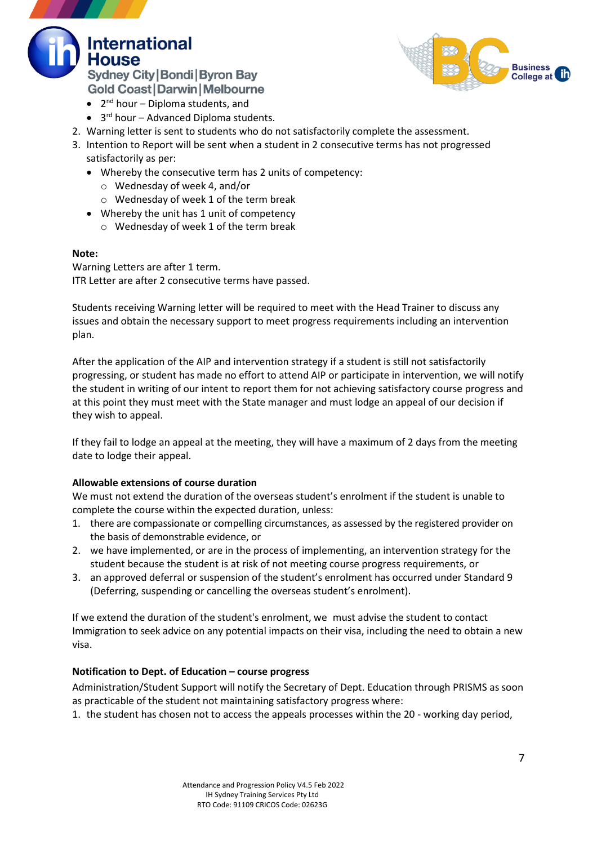



- 2<sup>nd</sup> hour Diploma students, and
- 3<sup>rd</sup> hour Advanced Diploma students.
- 2. Warning letter is sent to students who do not satisfactorily complete the assessment.
- 3. Intention to Report will be sent when a student in 2 consecutive terms has not progressed satisfactorily as per:
	- Whereby the consecutive term has 2 units of competency:
		- o Wednesday of week 4, and/or
		- o Wednesday of week 1 of the term break
	- Whereby the unit has 1 unit of competency
		- o Wednesday of week 1 of the term break

#### **Note:**

Warning Letters are after 1 term. ITR Letter are after 2 consecutive terms have passed.

Students receiving Warning letter will be required to meet with the Head Trainer to discuss any issues and obtain the necessary support to meet progress requirements including an intervention plan.

After the application of the AIP and intervention strategy if a student is still not satisfactorily progressing, or student has made no effort to attend AIP or participate in intervention, we will notify the student in writing of our intent to report them for not achieving satisfactory course progress and at this point they must meet with the State manager and must lodge an appeal of our decision if they wish to appeal.

If they fail to lodge an appeal at the meeting, they will have a maximum of 2 days from the meeting date to lodge their appeal.

## **Allowable extensions of course duration**

We must not extend the duration of the overseas student's enrolment if the student is unable to complete the course within the expected duration, unless:

- 1. there are compassionate or compelling circumstances, as assessed by the registered provider on the basis of demonstrable evidence, or
- 2. we have implemented, or are in the process of implementing, an intervention strategy for the student because the student is at risk of not meeting course progress requirements, or
- 3. an approved deferral or suspension of the student's enrolment has occurred under Standard 9 (Deferring, suspending or cancelling the overseas student's enrolment).

If we extend the duration of the student's enrolment, we must advise the student to contact Immigration to seek advice on any potential impacts on their visa, including the need to obtain a new visa.

## **Notification to Dept. of Education – course progress**

Administration/Student Support will notify the Secretary of Dept. Education through PRISMS as soon as practicable of the student not maintaining satisfactory progress where:

1. the student has chosen not to access the appeals processes within the 20 - working day period,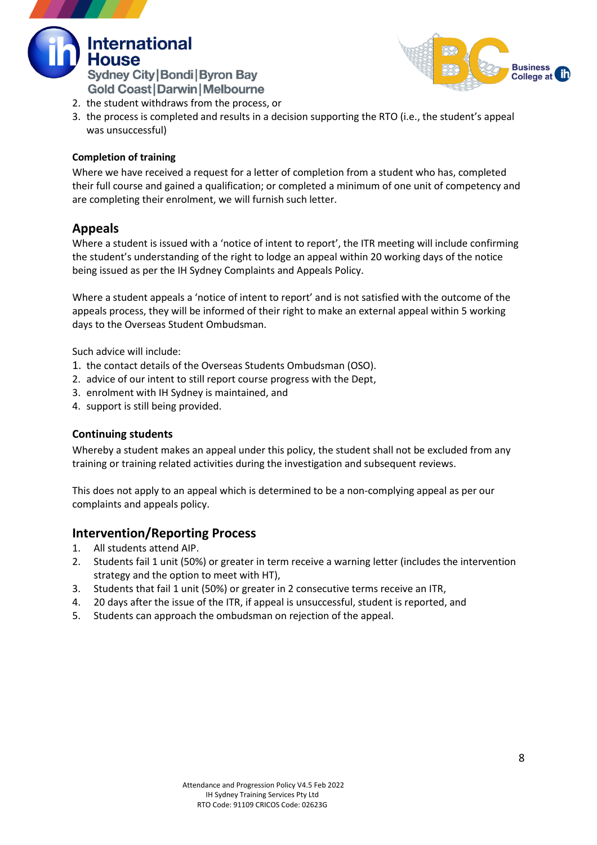



- 2. the student withdraws from the process, or
- 3. the process is completed and results in a decision supporting the RTO (i.e., the student's appeal was unsuccessful)

## **Completion of training**

Where we have received a request for a letter of completion from a student who has, completed their full course and gained a qualification; or completed a minimum of one unit of competency and are completing their enrolment, we will furnish such letter.

## **Appeals**

Where a student is issued with a 'notice of intent to report', the ITR meeting will include confirming the student's understanding of the right to lodge an appeal within 20 working days of the notice being issued as per the IH Sydney Complaints and Appeals Policy.

Where a student appeals a 'notice of intent to report' and is not satisfied with the outcome of the appeals process, they will be informed of their right to make an external appeal within 5 working days to the Overseas Student Ombudsman.

Such advice will include:

- 1. the contact details of the Overseas Students Ombudsman (OSO).
- 2. advice of our intent to still report course progress with the Dept,
- 3. enrolment with IH Sydney is maintained, and
- 4. support is still being provided.

## **Continuing students**

Whereby a student makes an appeal under this policy, the student shall not be excluded from any training or training related activities during the investigation and subsequent reviews.

This does not apply to an appeal which is determined to be a non-complying appeal as per our complaints and appeals policy.

## **Intervention/Reporting Process**

- 1. All students attend AIP.
- 2. Students fail 1 unit (50%) or greater in term receive a warning letter (includes the intervention strategy and the option to meet with HT),
- 3. Students that fail 1 unit (50%) or greater in 2 consecutive terms receive an ITR,
- 4. 20 days after the issue of the ITR, if appeal is unsuccessful, student is reported, and
- 5. Students can approach the ombudsman on rejection of the appeal.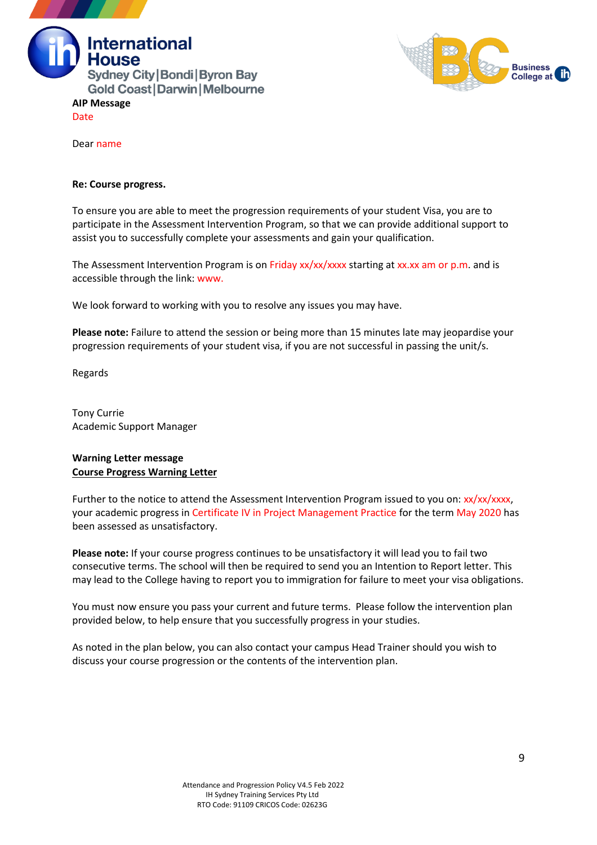



Dear name

#### **Re: Course progress.**

To ensure you are able to meet the progression requirements of your student Visa, you are to participate in the Assessment Intervention Program, so that we can provide additional support to assist you to successfully complete your assessments and gain your qualification.

The Assessment Intervention Program is on Friday xx/xx/xxxx starting at xx.xx am or p.m. and is accessible through the link: www.

We look forward to working with you to resolve any issues you may have.

**Please note:** Failure to attend the session or being more than 15 minutes late may jeopardise your progression requirements of your student visa, if you are not successful in passing the unit/s.

Regards

Tony Currie Academic Support Manager

#### **Warning Letter message Course Progress Warning Letter**

Further to the notice to attend the Assessment Intervention Program issued to you on: xx/xx/xxxx, your academic progress in Certificate IV in Project Management Practice for the term May 2020 has been assessed as unsatisfactory.

**Please note:** If your course progress continues to be unsatisfactory it will lead you to fail two consecutive terms. The school will then be required to send you an Intention to Report letter. This may lead to the College having to report you to immigration for failure to meet your visa obligations.

You must now ensure you pass your current and future terms. Please follow the intervention plan provided below, to help ensure that you successfully progress in your studies.

As noted in the plan below, you can also contact your campus Head Trainer should you wish to discuss your course progression or the contents of the intervention plan.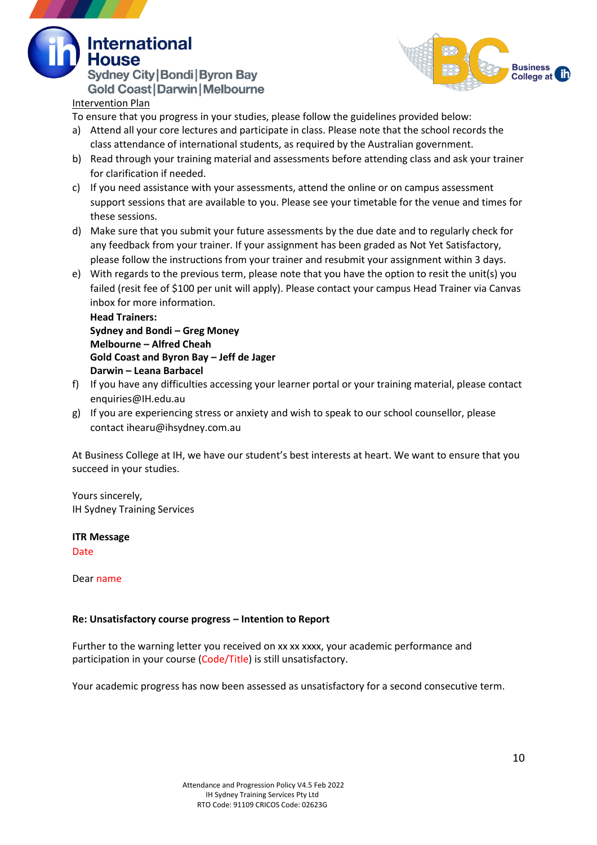**Sydney City | Bondi | Byron Bay Gold Coast | Darwin | Melbourne** 



# Intervention Plan

**International** 

To ensure that you progress in your studies, please follow the guidelines provided below:

- a) Attend all your core lectures and participate in class. Please note that the school records the class attendance of international students, as required by the Australian government.
- b) Read through your training material and assessments before attending class and ask your trainer for clarification if needed.
- c) If you need assistance with your assessments, attend the online or on campus assessment support sessions that are available to you. Please see your timetable for the venue and times for these sessions.
- d) Make sure that you submit your future assessments by the due date and to regularly check for any feedback from your trainer. If your assignment has been graded as Not Yet Satisfactory, please follow the instructions from your trainer and resubmit your assignment within 3 days.
- e) With regards to the previous term, please note that you have the option to resit the unit(s) you failed (resit fee of \$100 per unit will apply). Please contact your campus Head Trainer via Canvas inbox for more information.

**Head Trainers: Sydney and Bondi – Greg Money Melbourne – Alfred Cheah Gold Coast and Byron Bay – Jeff de Jager Darwin – Leana Barbacel**

- f) If you have any difficulties accessing your learner portal or your training material, please contact enquiries@IH.edu.au
- g) If you are experiencing stress or anxiety and wish to speak to our school counsellor, please contact ihearu@ihsydney.com.au

At Business College at IH, we have our student's best interests at heart. We want to ensure that you succeed in your studies.

Yours sincerely, IH Sydney Training Services

# **ITR Message**

Date

Dear name

## **Re: Unsatisfactory course progress – Intention to Report**

Further to the warning letter you received on xx xx xxxx, your academic performance and participation in your course (Code/Title) is still unsatisfactory.

Your academic progress has now been assessed as unsatisfactory for a second consecutive term.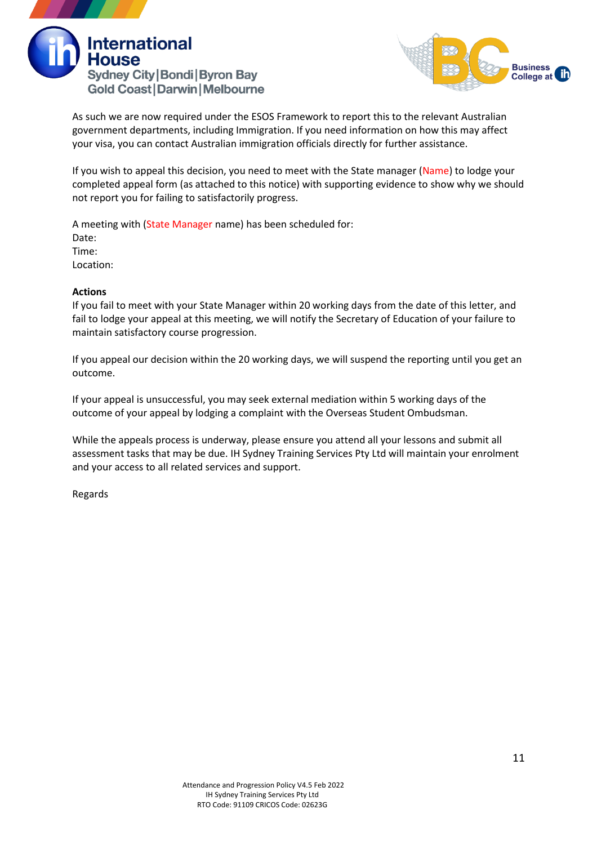



As such we are now required under the ESOS Framework to report this to the relevant Australian government departments, including Immigration. If you need information on how this may affect your visa, you can contact Australian immigration officials directly for further assistance.

If you wish to appeal this decision, you need to meet with the State manager (Name) to lodge your completed appeal form (as attached to this notice) with supporting evidence to show why we should not report you for failing to satisfactorily progress.

A meeting with (State Manager name) has been scheduled for: Date: Time: Location:

## **Actions**

If you fail to meet with your State Manager within 20 working days from the date of this letter, and fail to lodge your appeal at this meeting, we will notify the Secretary of Education of your failure to maintain satisfactory course progression.

If you appeal our decision within the 20 working days, we will suspend the reporting until you get an outcome.

If your appeal is unsuccessful, you may seek external mediation within 5 working days of the outcome of your appeal by lodging a complaint with the Overseas Student Ombudsman.

While the appeals process is underway, please ensure you attend all your lessons and submit all assessment tasks that may be due. IH Sydney Training Services Pty Ltd will maintain your enrolment and your access to all related services and support.

Regards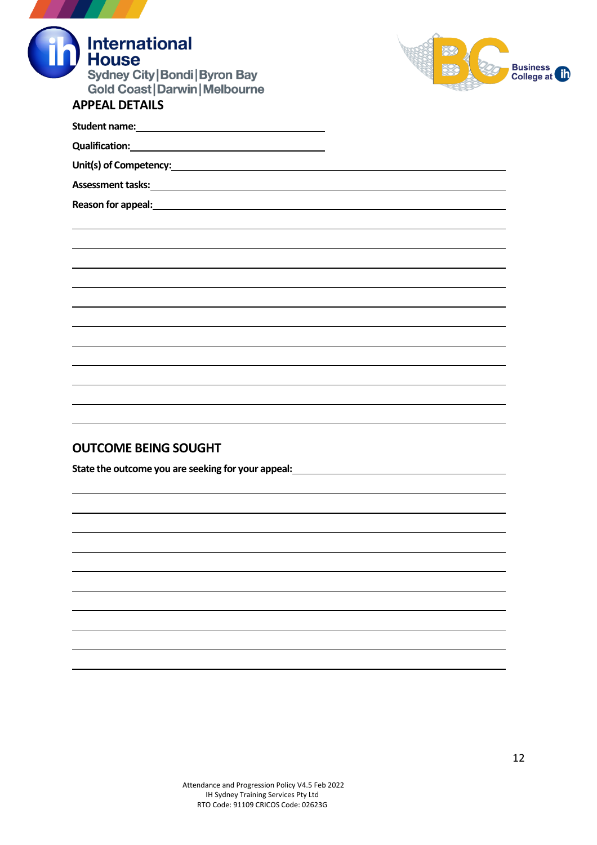| <b>International</b><br><b>House</b><br><b>Sydney City   Bondi   Byron Bay</b><br><b>Gold Coast   Darwin   Melbourne</b><br><b>APPEAL DETAILS</b> | <b>Business</b><br>College a |
|---------------------------------------------------------------------------------------------------------------------------------------------------|------------------------------|
|                                                                                                                                                   |                              |
|                                                                                                                                                   |                              |
|                                                                                                                                                   |                              |
|                                                                                                                                                   |                              |
| Reason for appeal: <b>Example 2018</b> and 2018 and 2018 and 2018 and 2018 and 2018 and 2018 and 2018 and 2018 and 2018                           |                              |
|                                                                                                                                                   |                              |
|                                                                                                                                                   |                              |
|                                                                                                                                                   |                              |

# **OUTCOME BEING SOUGHT**

**State the outcome you are seeking for your appeal:**